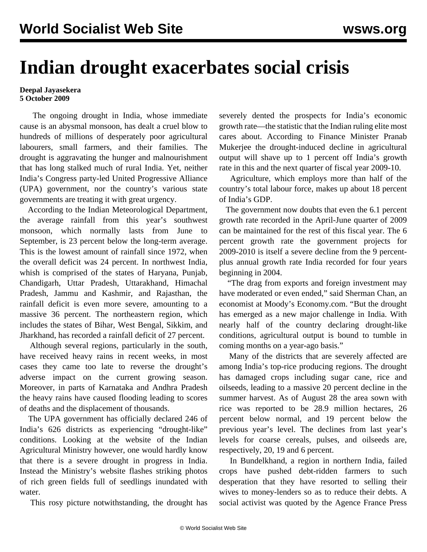## **Indian drought exacerbates social crisis**

## **Deepal Jayasekera 5 October 2009**

 The ongoing drought in India, whose immediate cause is an abysmal monsoon, has dealt a cruel blow to hundreds of millions of desperately poor agricultural labourers, small farmers, and their families. The drought is aggravating the hunger and malnourishment that has long stalked much of rural India. Yet, neither India's Congress party-led United Progressive Alliance (UPA) government, nor the country's various state governments are treating it with great urgency.

 According to the Indian Meteorological Department, the average rainfall from this year's southwest monsoon, which normally lasts from June to September, is 23 percent below the long-term average. This is the lowest amount of rainfall since 1972, when the overall deficit was 24 percent. In northwest India, whish is comprised of the states of Haryana, Punjab, Chandigarh, Uttar Pradesh, Uttarakhand, Himachal Pradesh, Jammu and Kashmir, and Rajasthan, the rainfall deficit is even more severe, amounting to a massive 36 percent. The northeastern region, which includes the states of Bihar, West Bengal, Sikkim, and Jharkhand, has recorded a rainfall deficit of 27 percent.

 Although several regions, particularly in the south, have received heavy rains in recent weeks, in most cases they came too late to reverse the drought's adverse impact on the current growing season. Moreover, in parts of Karnataka and Andhra Pradesh the heavy rains have caused flooding leading to scores of deaths and the displacement of thousands.

 The UPA government has officially declared 246 of India's 626 districts as experiencing "drought-like" conditions. Looking at the website of the Indian Agricultural Ministry however, one would hardly know that there is a severe drought in progress in India. Instead the Ministry's website flashes striking photos of rich green fields full of seedlings inundated with water.

This rosy picture notwithstanding, the drought has

severely dented the prospects for India's economic growth rate—the statistic that the Indian ruling elite most cares about. According to Finance Minister Pranab Mukerjee the drought-induced decline in agricultural output will shave up to 1 percent off India's growth rate in this and the next quarter of fiscal year 2009-10.

 Agriculture, which employs more than half of the country's total labour force, makes up about 18 percent of India's GDP.

 The government now doubts that even the 6.1 percent growth rate recorded in the April-June quarter of 2009 can be maintained for the rest of this fiscal year. The 6 percent growth rate the government projects for 2009-2010 is itself a severe decline from the 9 percentplus annual growth rate India recorded for four years beginning in 2004.

 "The drag from exports and foreign investment may have moderated or even ended," said Sherman Chan, an economist at Moody's Economy.com. "But the drought has emerged as a new major challenge in India. With nearly half of the country declaring drought-like conditions, agricultural output is bound to tumble in coming months on a year-ago basis."

 Many of the districts that are severely affected are among India's top-rice producing regions. The drought has damaged crops including sugar cane, rice and oilseeds, leading to a massive 20 percent decline in the summer harvest. As of August 28 the area sown with rice was reported to be 28.9 million hectares, 26 percent below normal, and 19 percent below the previous year's level. The declines from last year's levels for coarse cereals, pulses, and oilseeds are, respectively, 20, 19 and 6 percent.

 In Bundelkhand, a region in northern India, failed crops have pushed debt-ridden farmers to such desperation that they have resorted to selling their wives to money-lenders so as to reduce their debts. A social activist was quoted by the Agence France Press